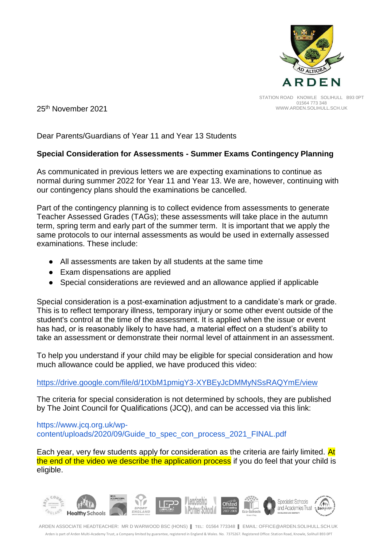

STATION ROAD KNOWLE SOLIHULL B93 0PT 01564 773 348 WWW.ARDEN.SOLIHULL.SCH.UK

25th November 2021

Dear Parents/Guardians of Year 11 and Year 13 Students

## **Special Consideration for Assessments - Summer Exams Contingency Planning**

As communicated in previous letters we are expecting examinations to continue as normal during summer 2022 for Year 11 and Year 13. We are, however, continuing with our contingency plans should the examinations be cancelled.

Part of the contingency planning is to collect evidence from assessments to generate Teacher Assessed Grades (TAGs); these assessments will take place in the autumn term, spring term and early part of the summer term. It is important that we apply the same protocols to our internal assessments as would be used in externally assessed examinations. These include:

- All assessments are taken by all students at the same time
- Exam dispensations are applied
- Special considerations are reviewed and an allowance applied if applicable

Special consideration is a post-examination adjustment to a candidate's mark or grade. This is to reflect temporary illness, temporary injury or some other event outside of the student's control at the time of the assessment. It is applied when the issue or event has had, or is reasonably likely to have had, a material effect on a student's ability to take an assessment or demonstrate their normal level of attainment in an assessment.

To help you understand if your child may be eligible for special consideration and how much allowance could be applied, we have produced this video:

## <https://drive.google.com/file/d/1tXbM1pmigY3-XYBEyJcDMMyNSsRAQYmE/view>

The criteria for special consideration is not determined by schools, they are published by The Joint Council for Qualifications (JCQ), and can be accessed via this link:

[https://www.jcq.org.uk/wp](https://www.jcq.org.uk/wp-content/uploads/2020/09/Guide_to_spec_con_process_2021_FINAL.pdf)[content/uploads/2020/09/Guide\\_to\\_spec\\_con\\_process\\_2021\\_FINAL.pdf](https://www.jcq.org.uk/wp-content/uploads/2020/09/Guide_to_spec_con_process_2021_FINAL.pdf)

Each year, very few students apply for consideration as the criteria are fairly limited. At the end of the video we describe the application process if you do feel that your child is eligible.